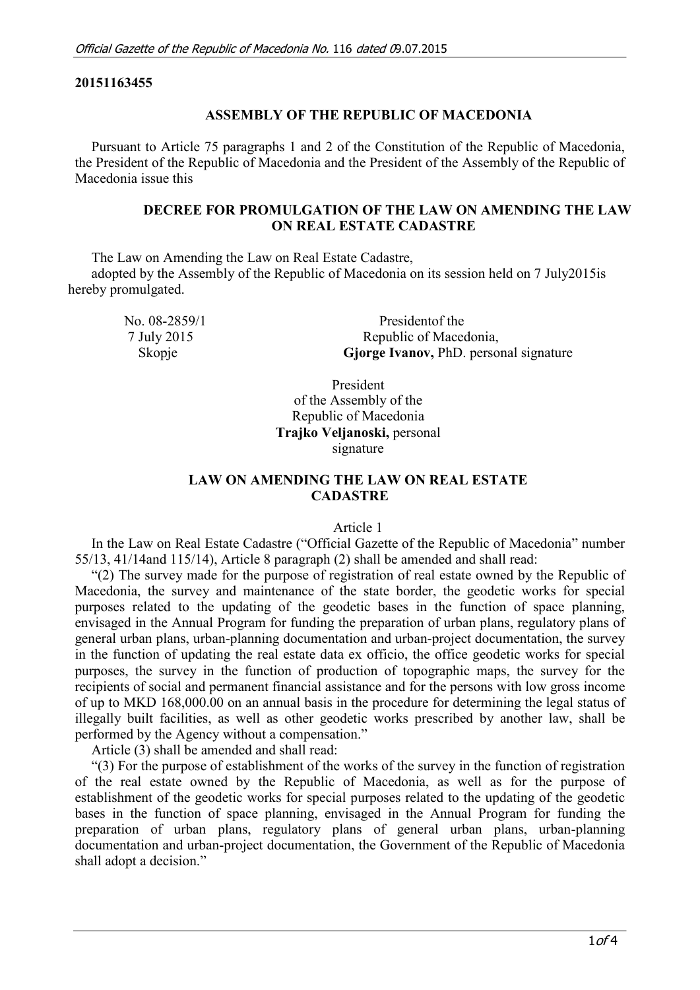### **20151163455**

#### **ASSEMBLY OF THE REPUBLIC OF MACEDONIA**

Pursuant to Article 75 paragraphs 1 and 2 of the Constitution of the Republic of Macedonia, the President of the Republic of Macedonia and the President of the Assembly of the Republic of Macedonia issue this

### **DECREE FOR PROMULGATION OF THE LAW ON AMENDING THE LAW ON REAL ESTATE CADASTRE**

The Law on Amending the Law on Real Estate Cadastre,

adopted by the Assembly of the Republic of Macedonia on its session held on 7 July2015is hereby promulgated.

| No. $08-2859/1$ | President of the                              |
|-----------------|-----------------------------------------------|
| 7 July 2015     | Republic of Macedonia,                        |
| Skopje          | <b>Gjorge Ivanov, PhD.</b> personal signature |

President of the Assembly of the Republic of Macedonia **Trajko Veljanoski,** personal signature

## **LAW ON AMENDING THE LAW ON REAL ESTATE CADASTRE**

#### Article 1

In the Law on Real Estate Cadastre ("Official Gazette of the Republic of Macedonia" number 55/13, 41/14and 115/14), Article 8 paragraph (2) shall be amended and shall read:

"(2) The survey made for the purpose of registration of real estate owned by the Republic of Macedonia, the survey and maintenance of the state border, the geodetic works for special purposes related to the updating of the geodetic bases in the function of space planning, envisaged in the Annual Program for funding the preparation of urban plans, regulatory plans of general urban plans, urban-planning documentation and urban-project documentation, the survey in the function of updating the real estate data ex officio, the office geodetic works for special purposes, the survey in the function of production of topographic maps, the survey for the recipients of social and permanent financial assistance and for the persons with low gross income of up to MKD 168,000.00 on an annual basis in the procedure for determining the legal status of illegally built facilities, as well as other geodetic works prescribed by another law, shall be performed by the Agency without a compensation."

Article (3) shall be amended and shall read:

"(3) For the purpose of establishment of the works of the survey in the function of registration of the real estate owned by the Republic of Macedonia, as well as for the purpose of establishment of the geodetic works for special purposes related to the updating of the geodetic bases in the function of space planning, envisaged in the Annual Program for funding the preparation of urban plans, regulatory plans of general urban plans, urban-planning documentation and urban-project documentation, the Government of the Republic of Macedonia shall adopt a decision."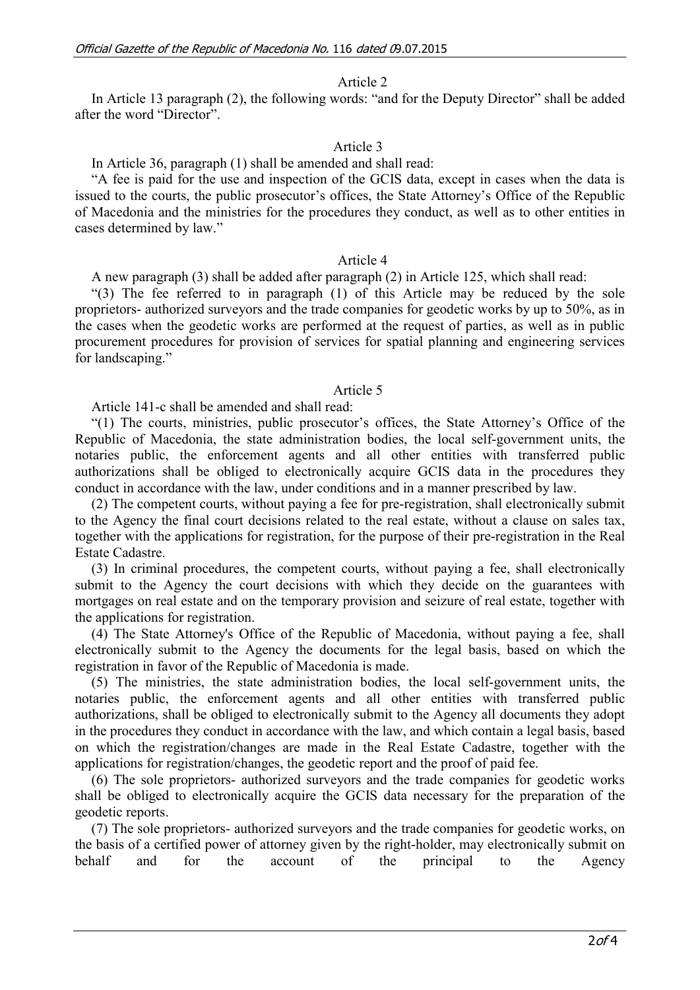### Article 2

In Article 13 paragraph (2), the following words: "and for the Deputy Director" shall be added after the word "Director".

### Article 3

In Article 36, paragraph (1) shall be amended and shall read:

"A fee is paid for the use and inspection of the GCIS data, except in cases when the data is issued to the courts, the public prosecutor's offices, the State Attorney's Office of the Republic of Macedonia and the ministries for the procedures they conduct, as well as to other entities in cases determined by law."

### Article 4

A new paragraph (3) shall be added after paragraph (2) in Article 125, which shall read:

"(3) The fee referred to in paragraph (1) of this Article may be reduced by the sole proprietors- authorized surveyors and the trade companies for geodetic works by up to 50%, as in the cases when the geodetic works are performed at the request of parties, as well as in public procurement procedures for provision of services for spatial planning and engineering services for landscaping."

### Article 5

Article 141-c shall be amended and shall read:

"(1) The courts, ministries, public prosecutor's offices, the State Attorney's Office of the Republic of Macedonia, the state administration bodies, the local self-government units, the notaries public, the enforcement agents and all other entities with transferred public authorizations shall be obliged to electronically acquire GCIS data in the procedures they conduct in accordance with the law, under conditions and in a manner prescribed by law.

(2) The competent courts, without paying a fee for pre-registration, shall electronically submit to the Agency the final court decisions related to the real estate, without a clause on sales tax, together with the applications for registration, for the purpose of their pre-registration in the Real Estate Cadastre.

(3) In criminal procedures, the competent courts, without paying a fee, shall electronically submit to the Agency the court decisions with which they decide on the guarantees with mortgages on real estate and on the temporary provision and seizure of real estate, together with the applications for registration.

(4) The State Attorney's Office of the Republic of Macedonia, without paying a fee, shall electronically submit to the Agency the documents for the legal basis, based on which the registration in favor of the Republic of Macedonia is made.

(5) The ministries, the state administration bodies, the local self-government units, the notaries public, the enforcement agents and all other entities with transferred public authorizations, shall be obliged to electronically submit to the Agency all documents they adopt in the procedures they conduct in accordance with the law, and which contain a legal basis, based on which the registration/changes are made in the Real Estate Cadastre, together with the applications for registration/changes, the geodetic report and the proof of paid fee.

(6) The sole proprietors- authorized surveyors and the trade companies for geodetic works shall be obliged to electronically acquire the GCIS data necessary for the preparation of the geodetic reports.

(7) The sole proprietors- authorized surveyors and the trade companies for geodetic works, on the basis of a certified power of attorney given by the right-holder, may electronically submit on behalf and for the account of the principal to the Agency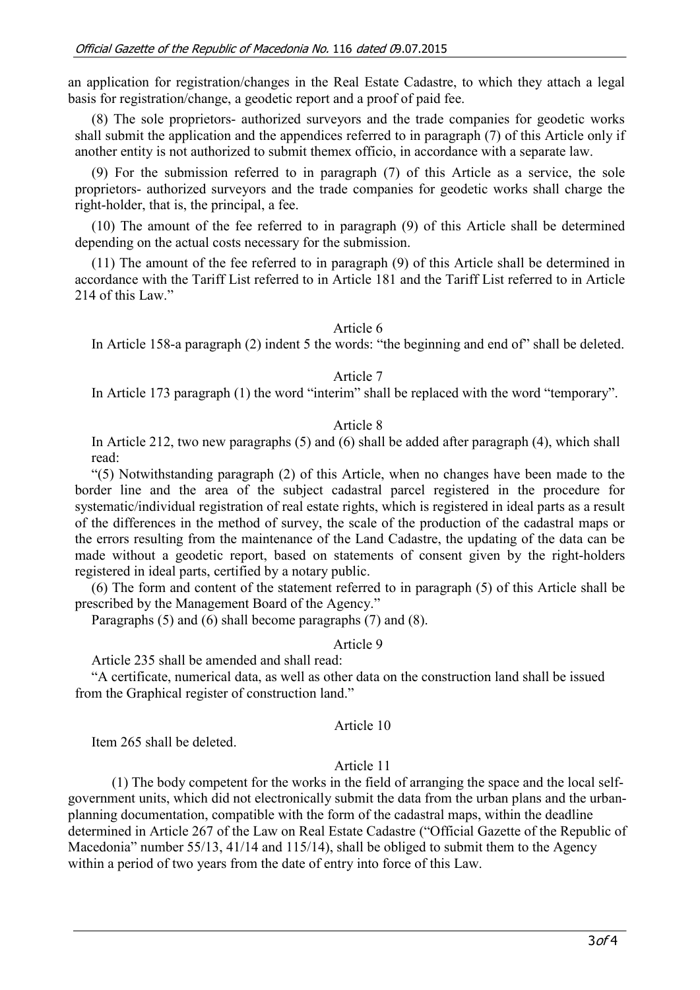an application for registration/changes in the Real Estate Cadastre, to which they attach a legal basis for registration/change, a geodetic report and a proof of paid fee.

(8) The sole proprietors- authorized surveyors and the trade companies for geodetic works shall submit the application and the appendices referred to in paragraph (7) of this Article only if another entity is not authorized to submit themex officio, in accordance with a separate law.

(9) For the submission referred to in paragraph (7) of this Article as a service, the sole proprietors- authorized surveyors and the trade companies for geodetic works shall charge the right-holder, that is, the principal, a fee.

(10) The amount of the fee referred to in paragraph (9) of this Article shall be determined depending on the actual costs necessary for the submission.

(11) The amount of the fee referred to in paragraph (9) of this Article shall be determined in accordance with the Tariff List referred to in Article 181 and the Tariff List referred to in Article 214 of this Law."

Article 6

In Article 158-a paragraph (2) indent 5 the words: "the beginning and end of" shall be deleted.

### Article 7

In Article 173 paragraph (1) the word "interim" shall be replaced with the word "temporary".

### Article 8

In Article 212, two new paragraphs (5) and (6) shall be added after paragraph (4), which shall read:

"(5) Notwithstanding paragraph (2) of this Article, when no changes have been made to the border line and the area of the subject cadastral parcel registered in the procedure for systematic/individual registration of real estate rights, which is registered in ideal parts as a result of the differences in the method of survey, the scale of the production of the cadastral maps or the errors resulting from the maintenance of the Land Cadastre, the updating of the data can be made without a geodetic report, based on statements of consent given by the right-holders registered in ideal parts, certified by a notary public.

(6) The form and content of the statement referred to in paragraph (5) of this Article shall be prescribed by the Management Board of the Agency."

Paragraphs (5) and (6) shall become paragraphs (7) and (8).

### Article 9

Article 235 shall be amended and shall read:

"A certificate, numerical data, as well as other data on the construction land shall be issued from the Graphical register of construction land."

### Article 10

Item 265 shall be deleted.

# Article 11

(1) The body competent for the works in the field of arranging the space and the local selfgovernment units, which did not electronically submit the data from the urban plans and the urbanplanning documentation, compatible with the form of the cadastral maps, within the deadline determined in Article 267 of the Law on Real Estate Cadastre ("Official Gazette of the Republic of Macedonia" number 55/13, 41/14 and 115/14), shall be obliged to submit them to the Agency within a period of two years from the date of entry into force of this Law.